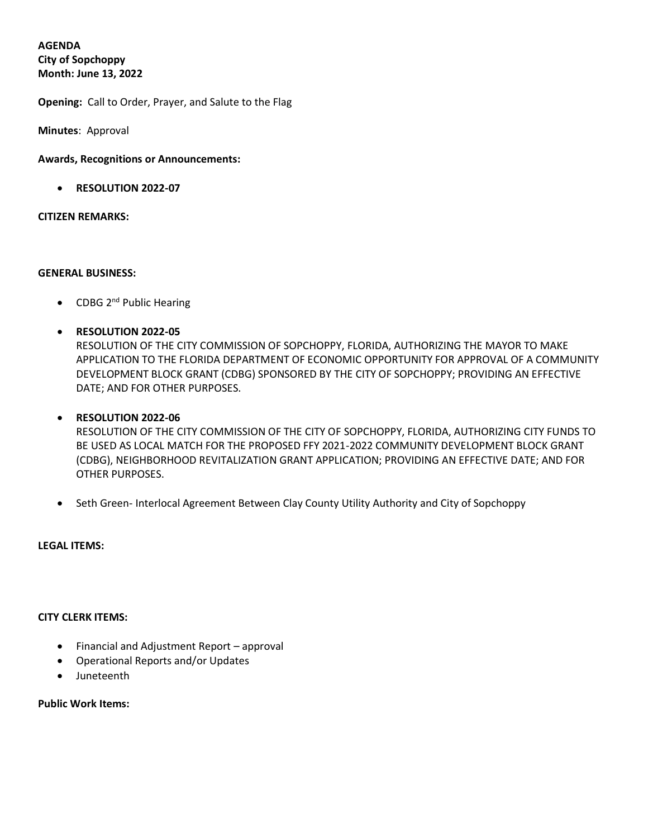# **AGENDA**

**City of Sopchoppy Month: June 13, 2022**

**Opening:** Call to Order, Prayer, and Salute to the Flag

**Minutes**: Approval

# **Awards, Recognitions or Announcements:**

• **RESOLUTION 2022-07**

#### **CITIZEN REMARKS:**

#### **GENERAL BUSINESS:**

- CDBG 2<sup>nd</sup> Public Hearing
- **RESOLUTION 2022-05**

RESOLUTION OF THE CITY COMMISSION OF SOPCHOPPY, FLORIDA, AUTHORIZING THE MAYOR TO MAKE APPLICATION TO THE FLORIDA DEPARTMENT OF ECONOMIC OPPORTUNITY FOR APPROVAL OF A COMMUNITY DEVELOPMENT BLOCK GRANT (CDBG) SPONSORED BY THE CITY OF SOPCHOPPY; PROVIDING AN EFFECTIVE DATE; AND FOR OTHER PURPOSES.

# • **RESOLUTION 2022-06**

RESOLUTION OF THE CITY COMMISSION OF THE CITY OF SOPCHOPPY, FLORIDA, AUTHORIZING CITY FUNDS TO BE USED AS LOCAL MATCH FOR THE PROPOSED FFY 2021-2022 COMMUNITY DEVELOPMENT BLOCK GRANT (CDBG), NEIGHBORHOOD REVITALIZATION GRANT APPLICATION; PROVIDING AN EFFECTIVE DATE; AND FOR OTHER PURPOSES.

• Seth Green- Interlocal Agreement Between Clay County Utility Authority and City of Sopchoppy

#### **LEGAL ITEMS:**

# **CITY CLERK ITEMS:**

- Financial and Adjustment Report approval
- Operational Reports and/or Updates
- Juneteenth

# **Public Work Items:**